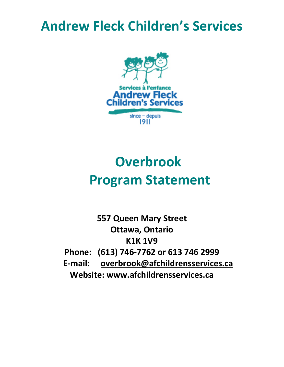## **Andrew Fleck Children's Services**



# **Overbrook Program Statement**

**557 Queen Mary Street Ottawa, Ontario K1K 1V9 Phone: (613) 746-7762 or 613 746 2999 E-mail: overbrook@afchildrensservices.ca Website: www.afchildrensservices.ca**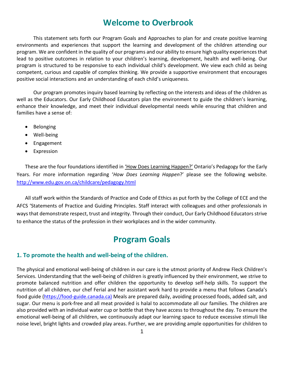## **Welcome to Overbrook**

This statement sets forth our Program Goals and Approaches to plan for and create positive learning environments and experiences that support the learning and development of the children attending our program. We are confident in the quality of our programs and our ability to ensure high quality experiences that lead to positive outcomes in relation to your children's learning, development, health and well-being. Our program is structured to be responsive to each individual child's development. We view each child as being competent, curious and capable of complex thinking. We provide a supportive environment that encourages positive social interactions and an understanding of each child's uniqueness.

Our program promotes inquiry based learning by reflecting on the interests and ideas of the children as well as the Educators. Our Early Childhood Educators plan the environment to guide the children's learning, enhance their knowledge, and meet their individual developmental needs while ensuring that children and families have a sense of:

- Belonging
- Well-being
- Engagement
- Expression

These are the four foundations identified in 'How Does Learning Happen?' Ontario's Pedagogy for the Early Years. For more information regarding '*How Does Learning Happen*?' please see the following website. <http://www.edu.gov.on.ca/childcare/pedagogy.html>

All staff work within the Standards of Practice and Code of Ethics as put forth by the College of ECE and the AFCS 'Statements of Practice and Guiding Principles. Staff interact with colleagues and other professionals in ways that demonstrate respect, trust and integrity. Through their conduct, Our Early Childhood Educators strive to enhance the status of the profession in their workplaces and in the wider community.

### **Program Goals**

#### **1. To promote the health and well-being of the children.**

The physical and emotional well-being of children in our care is the utmost priority of Andrew Fleck Children's Services. Understanding that the well-being of children is greatly influenced by their environment, we strive to promote balanced nutrition and offer children the opportunity to develop self-help skills. To support the nutrition of all children, our chef Ferial and her assistant work hard to provide a menu that follows Canada's food guide [\(https://food-guide.canada.ca\)](https://food-guide.canada.ca)/) Meals are prepared daily, avoiding processed foods, added salt, and sugar. Our menu is pork-free and all meat provided is halal to accommodate all our families. The children are also provided with an individual water cup or bottle that they have access to throughout the day. To ensure the emotional well-being of all children, we continuously adapt our learning space to reduce excessive stimuli like noise level, bright lights and crowded play areas. Further, we are providing ample opportunities for children to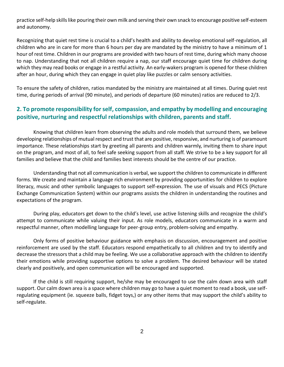practice self-help skills like pouring their own milk and serving their own snack to encourage positive self-esteem and autonomy.

Recognizing that quiet rest time is crucial to a child's health and ability to develop emotional self-regulation, all children who are in care for more than 6 hours per day are mandated by the ministry to have a minimum of 1 hour of rest time. Children in our programs are provided with two hours of rest time, during which many choose to nap. Understanding that not all children require a nap, our staff encourage quiet time for children during which they may read books or engage in a restful activity. An early-wakers program is opened for these children after an hour, during which they can engage in quiet play like puzzles or calm sensory activities.

To ensure the safety of children, ratios mandated by the ministry are maintained at all times. During quiet rest time, during periods of arrival (90 minute), and periods of departure (60 minutes) ratios are reduced to 2/3.

#### **2. To promote responsibility for self, compassion, and empathy by modelling and encouraging positive, nurturing and respectful relationships with children, parents and staff.**

Knowing that children learn from observing the adults and role models that surround them, we believe developing relationships of mutual respect and trust that are positive, responsive, and nurturing is of paramount importance. These relationships start by greeting all parents and children warmly, inviting them to share input on the program, and most of all, to feel safe seeking support from all staff. We strive to be a key support for all families and believe that the child and families best interests should be the centre of our practice.

Understanding that not all communication is verbal, we support the children to communicate in different forms. We create and maintain a language rich environment by providing opportunities for children to explore literacy, music and other symbolic languages to support self-expression. The use of visuals and PECS (Picture Exchange Communication System) within our programs assists the children in understanding the routines and expectations of the program.

During play, educators get down to the child's level, use active listening skills and recognize the child's attempt to communicate while valuing their input. As role models, educators communicate in a warm and respectful manner, often modelling language for peer-group entry, problem-solving and empathy.

Only forms of positive behaviour guidance with emphasis on discussion, encouragement and positive reinforcement are used by the staff. Educators respond empathetically to all children and try to identify and decrease the stressors that a child may be feeling. We use a collaborative approach with the children to identify their emotions while providing supportive options to solve a problem. The desired behaviour will be stated clearly and positively, and open communication will be encouraged and supported.

If the child is still requiring support, he/she may be encouraged to use the calm down area with staff support. Our calm down area is a space where children may go to have a quiet moment to read a book, use selfregulating equipment (ie. squeeze balls, fidget toys,) or any other items that may support the child's ability to self-regulate.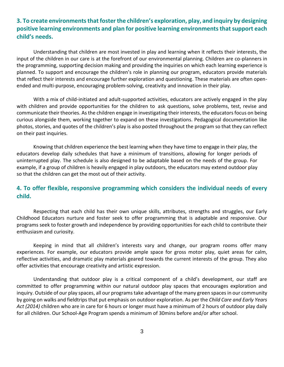#### **3. To create environments that foster the children's exploration, play, and inquiry by designing positive learning environments and plan for positive learning environments that support each child's needs.**

Understanding that children are most invested in play and learning when it reflects their interests, the input of the children in our care is at the forefront of our environmental planning. Children are co-planners in the programming, supporting decision making and providing the inquiries on which each learning experience is planned. To support and encourage the children's role in planning our program, educators provide materials that reflect their interests and encourage further exploration and questioning. These materials are often openended and multi-purpose, encouraging problem-solving, creativity and innovation in their play.

With a mix of child-initiated and adult-supported activities, educators are actively engaged in the play with children and provide opportunities for the children to ask questions, solve problems, test, revise and communicate their theories. As the children engage in investigating their interests, the educators focus on being curious alongside them, working together to expand on these investigations. Pedagogical documentation like photos, stories, and quotes of the children's play is also posted throughout the program so that they can reflect on their past inquiries.

Knowing that children experience the best learning when they have time to engage in their play, the educators develop daily schedules that have a minimum of transitions, allowing for longer periods of uninterrupted play. The schedule is also designed to be adaptable based on the needs of the group. For example, if a group of children is heavily engaged in play outdoors, the educators may extend outdoor play so that the children can get the most out of their activity.

#### **4. To offer flexible, responsive programming which considers the individual needs of every child.**

Respecting that each child has their own unique skills, attributes, strengths and struggles, our Early Childhood Educators nurture and foster seek to offer programming that is adaptable and responsive. Our programs seek to foster growth and independence by providing opportunities for each child to contribute their enthusiasm and curiosity.

Keeping in mind that all children's interests vary and change, our program rooms offer many experiences. For example, our educators provide ample space for gross motor play, quiet areas for calm, reflective activities, and dramatic play materials geared towards the current interests of the group. They also offer activities that encourage creativity and artistic expression.

Understanding that outdoor play is a critical component of a child's development, our staff are committed to offer programming within our natural outdoor play spaces that encourages exploration and inquiry. Outside of our play spaces, all our programs take advantage of the many green spaces in our community by going on walks and fieldtrips that put emphasis on outdoor exploration. As per the *Child Care and Early Years Act (2014)* children who are in care for 6 hours or longer must have a minimum of 2 hours of outdoor play daily for all children. Our School-Age Program spends a minimum of 30mins before and/or after school.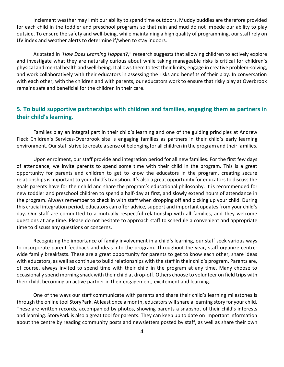Inclement weather may limit our ability to spend time outdoors. Muddy buddies are therefore provided for each child in the toddler and preschool programs so that rain and mud do not impede our ability to play outside. To ensure the safety and well-being, while maintaining a high quality of programming, our staff rely on UV index and weather alerts to determine if/when to stay indoors.

As stated in '*How Does Learning Happen*?," research suggests that allowing children to actively explore and investigate what they are naturally curious about while taking manageable risks is critical for children's physical and mental health and well-being. It allows them to test their limits, engage in creative problem-solving, and work collaboratively with their educators in assessing the risks and benefits of their play. In conversation with each other, with the children and with parents, our educators work to ensure that risky play at Overbrook remains safe and beneficial for the children in their care.

#### **5. To build supportive partnerships with children and families, engaging them as partners in their child's learning.**

Families play an integral part in their child's learning and one of the guiding principles at Andrew Fleck Children's Services-Overbrook site is engaging families as partners in their child's early learning environment. Our staff strive to create a sense of belonging for all children in the program and their families.

Upon enrolment, our staff provide and integration period for all new families. For the first few days of attendance, we invite parents to spend some time with their child in the program. This is a great opportunity for parents and children to get to know the educators in the program, creating secure relationships is important to your child's transition. It's also a great opportunity for educators to discuss the goals parents have for their child and share the program's educational philosophy. It is recommended for new toddler and preschool children to spend a half-day at first, and slowly extend hours of attendance in the program. Always remember to check in with staff when dropping off and picking up your child. During this crucial integration period, educators can offer advice, support and important updates from your child's day. Our staff are committed to a mutually respectful relationship with all families, and they welcome questions at any time. Please do not hesitate to approach staff to schedule a convenient and appropriate time to discuss any questions or concerns.

Recognizing the importance of family involvement in a child's learning, our staff seek various ways to incorporate parent feedback and ideas into the program. Throughout the year, staff organize centrewide family breakfasts. These are a great opportunity for parents to get to know each other, share ideas with educators, as well as continue to build relationships with the staff in their child's program. Parents are, of course, always invited to spend time with their child in the program at any time. Many choose to occasionally spend morning snack with their child at drop-off. Others choose to volunteer on field trips with their child, becoming an active partner in their engagement, excitement and learning.

One of the ways our staff communicate with parents and share their child's learning milestones is through the online tool StoryPark. At least once a month, educators will share a learning story for your child. These are written records, accompanied by photos, showing parents a snapshot of their child's interests and learning. StoryPark is also a great tool for parents. They can keep up to date on important information about the centre by reading community posts and newsletters posted by staff, as well as share their own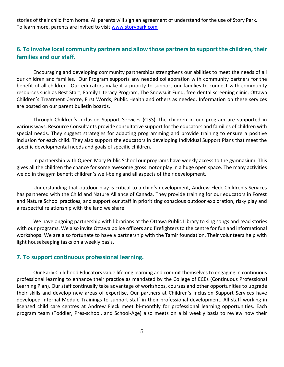stories of their child from home. All parents will sign an agreement of understand for the use of Story Park. To learn more, parents are invited to visit [www.storypark.com](http://www.storypark.com/)

#### **6. To involve local community partners and allow those partners to support the children, their families and our staff.**

Encouraging and developing community partnerships strengthens our abilities to meet the needs of all our children and families. Our Program supports any needed collaboration with community partners for the benefit of all children. Our educators make it a priority to support our families to connect with community resources such as Best Start, Family Literacy Program, The Snowsuit Fund, free dental screening clinic; Ottawa Children's Treatment Centre, First Words, Public Health and others as needed. Information on these services are posted on our parent bulletin boards.

Through Children's Inclusion Support Services (CISS), the children in our program are supported in various ways. Resource Consultants provide consultative support for the educators and families of children with special needs. They suggest strategies for adapting programming and provide training to ensure a positive inclusion for each child. They also support the educators in developing Individual Support Plans that meet the specific developmental needs and goals of specific children.

In partnership with Queen Mary Public School our programs have weekly access to the gymnasium. This gives all the children the chance for some awesome gross motor play in a huge open space. The many activities we do in the gym benefit children's well-being and all aspects of their development.

Understanding that outdoor play is critical to a child's development, Andrew Fleck Children's Services has partnered with the Child and Nature Alliance of Canada. They provide training for our educators in Forest and Nature School practices, and support our staff in prioritizing conscious outdoor exploration, risky play and a respectful relationship with the land we share.

We have ongoing partnership with librarians at the Ottawa Public Library to sing songs and read stories with our programs. We also invite Ottawa police officers and firefighters to the centre for fun and informational workshops. We are also fortunate to have a partnership with the Tamir foundation. Their volunteers help with light housekeeping tasks on a weekly basis.

#### **7. To support continuous professional learning.**

Our Early Childhood Educators value lifelong learning and commit themselves to engaging in continuous professional learning to enhance their practice as mandated by the College of ECEs (Continuous Professional Learning Plan). Our staff continually take advantage of workshops, courses and other opportunities to upgrade their skills and develop new areas of expertise. Our partners at Children's Inclusion Support Services have developed Internal Module Trainings to support staff in their professional development. All staff working in licensed child care centres at Andrew Fleck meet bi-monthly for professional learning opportunities. Each program team (Toddler, Pres-school, and School-Age) also meets on a bi weekly basis to review how their